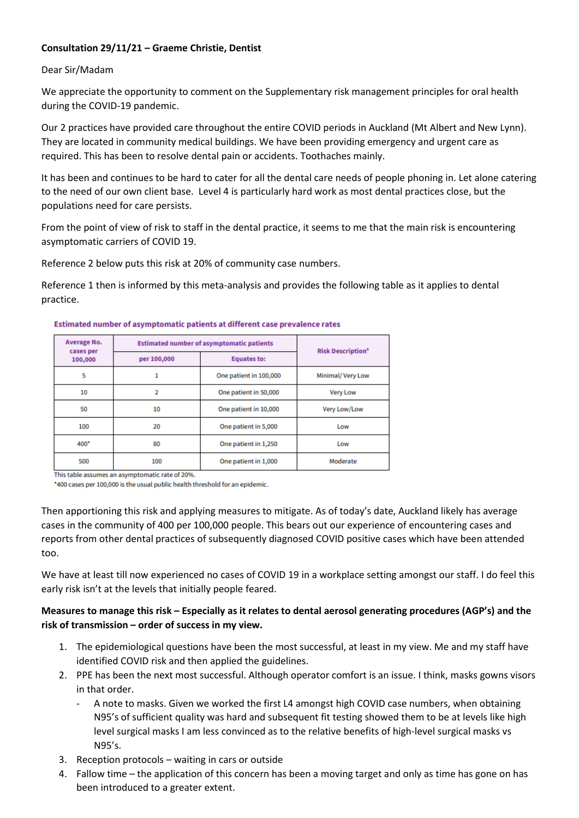## **Consultation 29/11/21 – Graeme Christie, Dentist**

## Dear Sir/Madam

We appreciate the opportunity to comment on the Supplementary risk management principles for oral health during the COVID-19 pandemic.

Our 2 practices have provided care throughout the entire COVID periods in Auckland (Mt Albert and New Lynn). They are located in community medical buildings. We have been providing emergency and urgent care as required. This has been to resolve dental pain or accidents. Toothaches mainly.

It has been and continues to be hard to cater for all the dental care needs of people phoning in. Let alone catering to the need of our own client base. Level 4 is particularly hard work as most dental practices close, but the populations need for care persists.

From the point of view of risk to staff in the dental practice, it seems to me that the main risk is encountering asymptomatic carriers of COVID 19.

Reference 2 below puts this risk at 20% of community case numbers.

Reference 1 then is informed by this meta-analysis and provides the following table as it applies to dental practice.

| Average No.<br>cases per<br>100,000 | <b>Estimated number of asymptomatic patients</b> |                        | <b>Risk Description<sup>4</sup></b> |
|-------------------------------------|--------------------------------------------------|------------------------|-------------------------------------|
|                                     | per 100,000                                      | <b>Equates to:</b>     |                                     |
| 5                                   |                                                  | One patient in 100,000 | Minimal/Very Low                    |
| 10                                  | 2                                                | One patient in 50,000  | <b>Very Low</b>                     |
| 50                                  | 10                                               | One patient in 10,000  | Very Low/Low                        |
| 100                                 | 20                                               | One patient in 5,000   | Low                                 |
| $400*$                              | 80                                               | One patient in 1,250   | Low                                 |
| 500                                 | 100                                              | One patient in 1,000   | Moderate                            |

## Estimated number of asymptomatic patients at different case prevalence rates

This table assumes an asymptomatic rate of 20%

\*400 cases per 100,000 is the usual public health threshold for an epidemic.

Then apportioning this risk and applying measures to mitigate. As of today's date, Auckland likely has average cases in the community of 400 per 100,000 people. This bears out our experience of encountering cases and reports from other dental practices of subsequently diagnosed COVID positive cases which have been attended too.

We have at least till now experienced no cases of COVID 19 in a workplace setting amongst our staff. I do feel this early risk isn't at the levels that initially people feared.

## **Measures to manage this risk – Especially as it relates to dental aerosol generating procedures (AGP's) and the risk of transmission – order of success in my view.**

- 1. The epidemiological questions have been the most successful, at least in my view. Me and my staff have identified COVID risk and then applied the guidelines.
- 2. PPE has been the next most successful. Although operator comfort is an issue. I think, masks gowns visors in that order.
	- A note to masks. Given we worked the first L4 amongst high COVID case numbers, when obtaining N95's of sufficient quality was hard and subsequent fit testing showed them to be at levels like high level surgical masks I am less convinced as to the relative benefits of high-level surgical masks vs N95's.
- 3. Reception protocols waiting in cars or outside
- 4. Fallow time the application of this concern has been a moving target and only as time has gone on has been introduced to a greater extent.